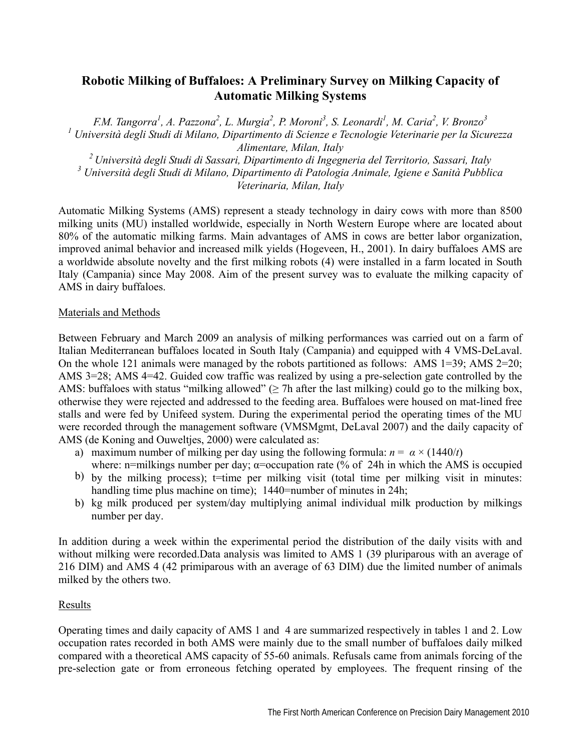## **Robotic Milking of Buffaloes: A Preliminary Survey on Milking Capacity of Automatic Milking Systems**

*F.M. Tangorra<sup>1</sup> , A. Pazzona<sup>2</sup> , L. Murgia<sup>2</sup> , P. Moroni<sup>3</sup> , S. Leonardi<sup>1</sup> , M. Caria<sup>2</sup> , V. Bronzo3 <sup>1</sup> Università degli Studi di Milano, Dipartimento di Scienze e Tecnologie Veterinarie per la Sicurezza Alimentare, Milan, Italy* 

*2 Università degli Studi di Sassari, Dipartimento di Ingegneria del Territorio, Sassari, Italy 3 Università degli Studi di Milano, Dipartimento di Patologia Animale, Igiene e Sanità Pubblica Veterinaria, Milan, Italy* 

Automatic Milking Systems (AMS) represent a steady technology in dairy cows with more than 8500 milking units (MU) installed worldwide, especially in North Western Europe where are located about 80% of the automatic milking farms. Main advantages of AMS in cows are better labor organization, improved animal behavior and increased milk yields (Hogeveen, H., 2001). In dairy buffaloes AMS are a worldwide absolute novelty and the first milking robots (4) were installed in a farm located in South Italy (Campania) since May 2008. Aim of the present survey was to evaluate the milking capacity of AMS in dairy buffaloes.

## Materials and Methods

Between February and March 2009 an analysis of milking performances was carried out on a farm of Italian Mediterranean buffaloes located in South Italy (Campania) and equipped with 4 VMS-DeLaval. On the whole 121 animals were managed by the robots partitioned as follows: AMS 1=39; AMS 2=20; AMS 3=28; AMS 4=42. Guided cow traffic was realized by using a pre-selection gate controlled by the AMS: buffaloes with status "milking allowed" ( $\geq$  7h after the last milking) could go to the milking box, otherwise they were rejected and addressed to the feeding area. Buffaloes were housed on mat-lined free stalls and were fed by Unifeed system. During the experimental period the operating times of the MU were recorded through the management software (VMSMgmt, DeLaval 2007) and the daily capacity of AMS (de Koning and Ouweltjes, 2000) were calculated as:

- a) maximum number of milking per day using the following formula:  $n = \alpha \times (1440/t)$ where: n=milkings number per day;  $\alpha$ =occupation rate (% of 24h in which the AMS is occupied
- b) by the milking process); t=time per milking visit (total time per milking visit in minutes: handling time plus machine on time); 1440=number of minutes in 24h;
- b) kg milk produced per system/day multiplying animal individual milk production by milkings number per day.

In addition during a week within the experimental period the distribution of the daily visits with and without milking were recorded.Data analysis was limited to AMS 1 (39 pluriparous with an average of 216 DIM) and AMS 4 (42 primiparous with an average of 63 DIM) due the limited number of animals milked by the others two.

## Results

Operating times and daily capacity of AMS 1 and 4 are summarized respectively in tables 1 and 2. Low occupation rates recorded in both AMS were mainly due to the small number of buffaloes daily milked compared with a theoretical AMS capacity of 55-60 animals. Refusals came from animals forcing of the pre-selection gate or from erroneous fetching operated by employees. The frequent rinsing of the